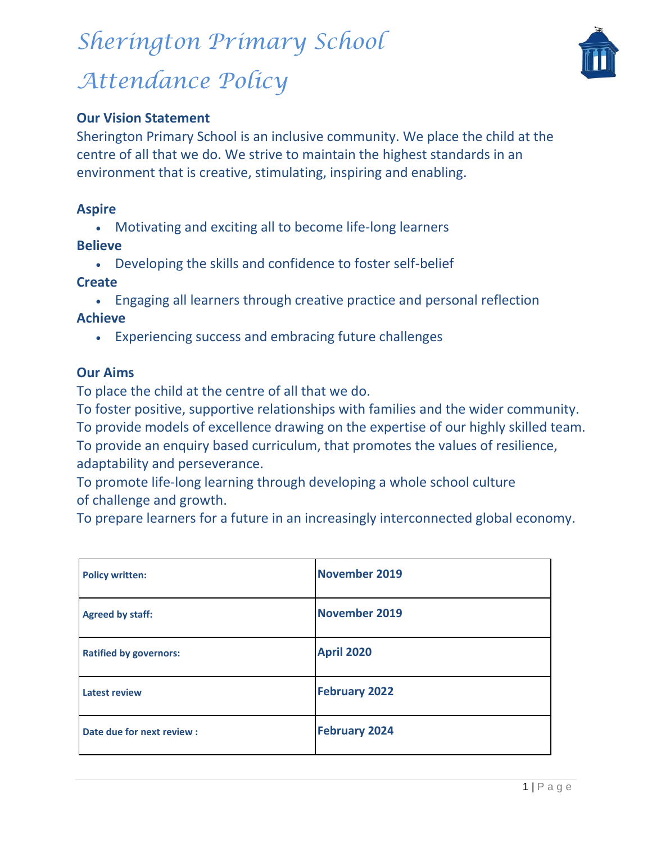# *Sherington Primary School*





## **Our Vision Statement**

Sherington Primary School is an inclusive community. We place the child at the centre of all that we do. We strive to maintain the highest standards in an environment that is creative, stimulating, inspiring and enabling.

### **Aspire**

Motivating and exciting all to become life-long learners

### **Believe**

Developing the skills and confidence to foster self-belief

### **Create**

Engaging all learners through creative practice and personal reflection

### **Achieve**

Experiencing success and embracing future challenges

### **Our Aims**

To place the child at the centre of all that we do.

To foster positive, supportive relationships with families and the wider community. To provide models of excellence drawing on the expertise of our highly skilled team. To provide an enquiry based curriculum, that promotes the values of resilience, adaptability and perseverance.

To promote life-long learning through developing a whole school culture of challenge and growth.

To prepare learners for a future in an increasingly interconnected global economy.

| <b>Policy written:</b>        | November 2019        |
|-------------------------------|----------------------|
| <b>Agreed by staff:</b>       | November 2019        |
| <b>Ratified by governors:</b> | <b>April 2020</b>    |
| <b>Latest review</b>          | <b>February 2022</b> |
| Date due for next review :    | <b>February 2024</b> |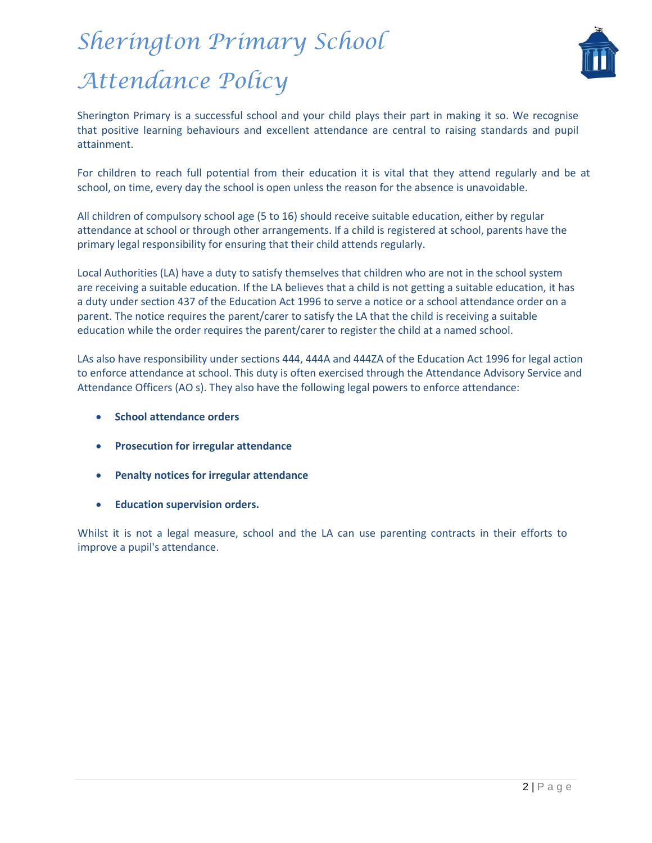

Sherington Primary is a successful school and your child plays their part in making it so. We recognise that positive learning behaviours and excellent attendance are central to raising standards and pupil attainment.

For children to reach full potential from their education it is vital that they attend regularly and be at school, on time, every day the school is open unless the reason for the absence is unavoidable.

All children of compulsory school age (5 to 16) should receive suitable education, either by regular attendance at school or through other arrangements. If a child is registered at school, parents have the primary legal responsibility for ensuring that their child attends regularly.

Local Authorities (LA) have a duty to satisfy themselves that children who are not in the school system are receiving a suitable education. If the LA believes that a child is not getting a suitable education, it has a duty under section 437 of the Education Act 1996 to serve a notice or a school attendance order on a parent. The notice requires the parent/carer to satisfy the LA that the child is receiving a suitable education while the order requires the parent/carer to register the child at a named school.

LAs also have responsibility under sections 444, 444A and 444ZA of the Education Act 1996 for legal action to enforce attendance at school. This duty is often exercised through the Attendance Advisory Service and Attendance Officers (AO s). They also have the following legal powers to enforce attendance:

- **School attendance orders**
- **Prosecution for irregular attendance**
- **Penalty notices for irregular attendance**
- **Education supervision orders.**

Whilst it is not a legal measure, school and the LA can use parenting contracts in their efforts to improve a pupil's attendance.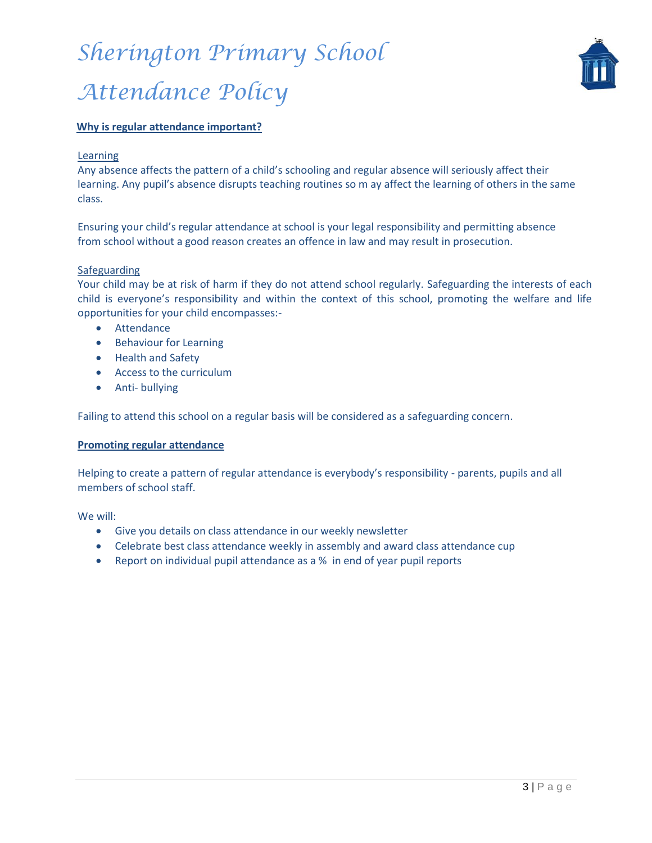

#### **Why is regular attendance important?**

#### Learning

Any absence affects the pattern of a child's schooling and regular absence will seriously affect their learning. Any pupil's absence disrupts teaching routines so m ay affect the learning of others in the same class.

Ensuring your child's regular attendance at school is your legal responsibility and permitting absence from school without a good reason creates an offence in law and may result in prosecution.

#### Safeguarding

Your child may be at risk of harm if they do not attend school regularly. Safeguarding the interests of each child is everyone's responsibility and within the context of this school, promoting the welfare and life opportunities for your child encompasses:-

- **•** Attendance
- Behaviour for Learning
- Health and Safety
- Access to the curriculum
- Anti- bullying

Failing to attend this school on a regular basis will be considered as a safeguarding concern.

#### **Promoting regular attendance**

Helping to create a pattern of regular attendance is everybody's responsibility - parents, pupils and all members of school staff.

We will:

- Give you details on class attendance in our weekly newsletter
- Celebrate best class attendance weekly in assembly and award class attendance cup
- Report on individual pupil attendance as a % in end of year pupil reports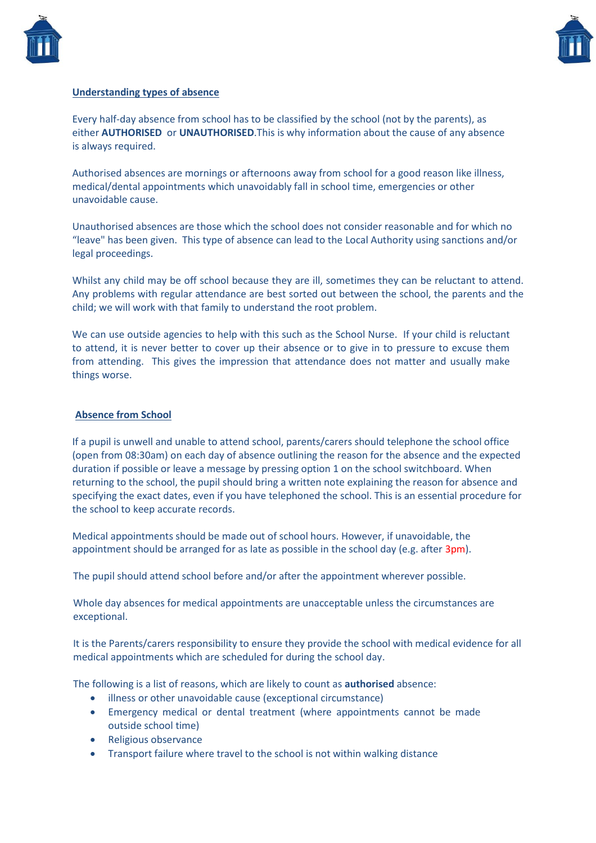



#### **Understanding types of absence**

Every half-day absence from school has to be classified by the school (not by the parents), as either **AUTHORISED** or **UNAUTHORISED**.This is why information about the cause of any absence is always required.

Authorised absences are mornings or afternoons away from school for a good reason like illness, medical/dental appointments which unavoidably fall in school time, emergencies or other unavoidable cause.

Unauthorised absences are those which the school does not consider reasonable and for which no "leave" has been given. This type of absence can lead to the Local Authority using sanctions and/or legal proceedings.

Whilst any child may be off school because they are ill, sometimes they can be reluctant to attend. Any problems with regular attendance are best sorted out between the school, the parents and the child; we will work with that family to understand the root problem.

We can use outside agencies to help with this such as the School Nurse. If your child is reluctant to attend, it is never better to cover up their absence or to give in to pressure to excuse them from attending. This gives the impression that attendance does not matter and usually make things worse.

#### **Absence from School**

If a pupil is unwell and unable to attend school, parents/carers should telephone the school office (open from 08:30am) on each day of absence outlining the reason for the absence and the expected duration if possible or leave a message by pressing option 1 on the school switchboard. When returning to the school, the pupil should bring a written note explaining the reason for absence and specifying the exact dates, even if you have telephoned the school. This is an essential procedure for the school to keep accurate records.

Medical appointments should be made out of school hours. However, if unavoidable, the appointment should be arranged for as late as possible in the school day (e.g. after 3pm).

The pupil should attend school before and/or after the appointment wherever possible.

Whole day absences for medical appointments are unacceptable unless the circumstances are exceptional.

It is the Parents/carers responsibility to ensure they provide the school with medical evidence for all medical appointments which are scheduled for during the school day.

The following is a list of reasons, which are likely to count as **authorised** absence:

- illness or other unavoidable cause (exceptional circumstance)
- Emergency medical or dental treatment (where appointments cannot be made outside school time)
- Religious observance
- Transport failure where travel to the school is not within walking distance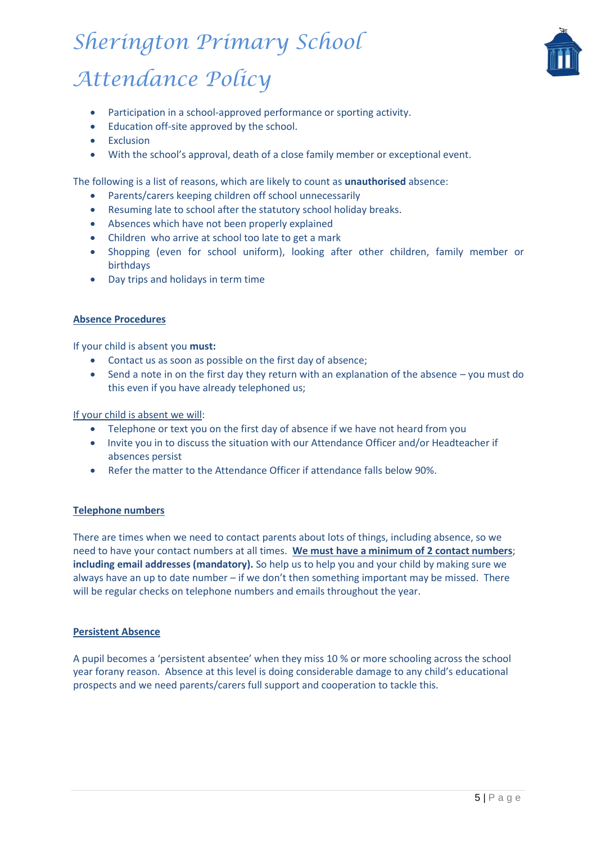

- Participation in a school-approved performance or sporting activity.
- Education off-site approved by the school.
- **•** Exclusion
- With the school's approval, death of a close family member or exceptional event.

The following is a list of reasons, which are likely to count as **unauthorised** absence:

- Parents/carers keeping children off school unnecessarily
- Resuming late to school after the statutory school holiday breaks.
- Absences which have not been properly explained
- Children who arrive at school too late to get a mark
- Shopping (even for school uniform), looking after other children, family member or birthdays
- Day trips and holidays in term time

#### **Absence Procedures**

If your child is absent you **must:**

- Contact us as soon as possible on the first day of absence;
- Send a note in on the first day they return with an explanation of the absence you must do this even if you have already telephoned us;

#### If your child is absent we will:

- Telephone or text you on the first day of absence if we have not heard from you
- Invite you in to discuss the situation with our Attendance Officer and/or Headteacher if absences persist
- Refer the matter to the Attendance Officer if attendance falls below 90%.

#### **Telephone numbers**

There are times when we need to contact parents about lots of things, including absence, so we need to have your contact numbers at all times. **We must have a minimum of 2 contact numbers**; **including email addresses (mandatory).** So help us to help you and your child by making sure we always have an up to date number – if we don't then something important may be missed. There will be regular checks on telephone numbers and emails throughout the year.

#### **Persistent Absence**

A pupil becomes a 'persistent absentee' when they miss 10 % or more schooling across the school year forany reason. Absence at this level is doing considerable damage to any child's educational prospects and we need parents/carers full support and cooperation to tackle this.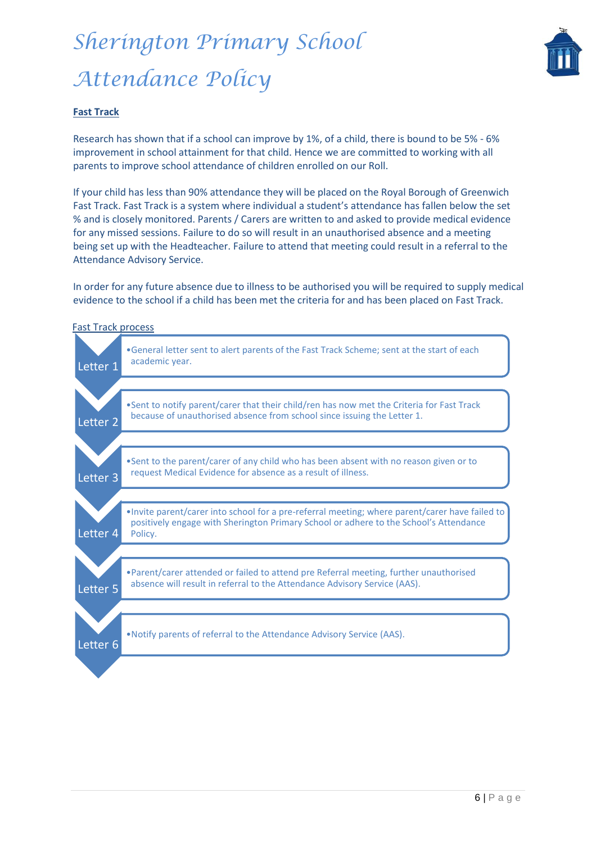

#### **Fast Track**

Research has shown that if a school can improve by 1%, of a child, there is bound to be 5% - 6% improvement in school attainment for that child. Hence we are committed to working with all parents to improve school attendance of children enrolled on our Roll.

If your child has less than 90% attendance they will be placed on the Royal Borough of Greenwich Fast Track. Fast Track is a system where individual a student's attendance has fallen below the set % and is closely monitored. Parents / Carers are written to and asked to provide medical evidence for any missed sessions. Failure to do so will result in an unauthorised absence and a meeting being set up with the Headteacher. Failure to attend that meeting could result in a referral to the Attendance Advisory Service.

In order for any future absence due to illness to be authorised you will be required to supply medical evidence to the school if a child has been met the criteria for and has been placed on Fast Track.